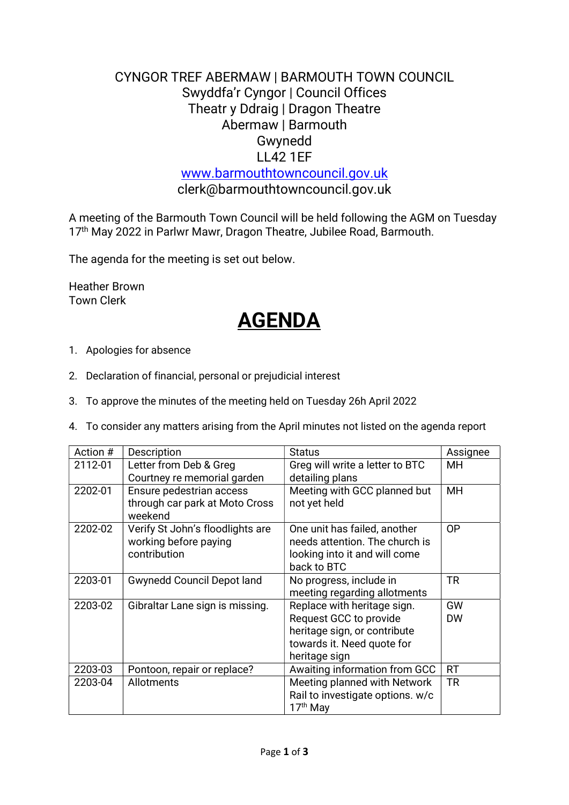## CYNGOR TREF ABERMAW | BARMOUTH TOWN COUNCIL Swyddfa'r Cyngor | Council Offices Theatr y Ddraig | Dragon Theatre Abermaw | Barmouth Gwynedd LL42 1EF

www.barmouthtowncouncil.gov.uk clerk@barmouthtowncouncil.gov.uk

A meeting of the Barmouth Town Council will be held following the AGM on Tuesday 17<sup>th</sup> May 2022 in Parlwr Mawr, Dragon Theatre, Jubilee Road, Barmouth.

The agenda for the meeting is set out below.

Heather Brown Town Clerk

# AGENDA

- 1. Apologies for absence
- 2. Declaration of financial, personal or prejudicial interest
- 3. To approve the minutes of the meeting held on Tuesday 26h April 2022
- 4. To consider any matters arising from the April minutes not listed on the agenda report

| Action # | Description                                                               | <b>Status</b>                                                                                                                        | Assignee        |
|----------|---------------------------------------------------------------------------|--------------------------------------------------------------------------------------------------------------------------------------|-----------------|
| 2112-01  | Letter from Deb & Greg<br>Courtney re memorial garden                     | Greg will write a letter to BTC<br>detailing plans                                                                                   | MH.             |
| 2202-01  | Ensure pedestrian access<br>through car park at Moto Cross<br>weekend     | Meeting with GCC planned but<br>not yet held                                                                                         | <b>MH</b>       |
| 2202-02  | Verify St John's floodlights are<br>working before paying<br>contribution | One unit has failed, another<br>needs attention. The church is<br>looking into it and will come<br>back to BTC                       | 0P              |
| 2203-01  | <b>Gwynedd Council Depot land</b>                                         | No progress, include in<br>meeting regarding allotments                                                                              | <b>TR</b>       |
| 2203-02  | Gibraltar Lane sign is missing.                                           | Replace with heritage sign.<br>Request GCC to provide<br>heritage sign, or contribute<br>towards it. Need quote for<br>heritage sign | GW<br><b>DW</b> |
| 2203-03  | Pontoon, repair or replace?                                               | Awaiting information from GCC                                                                                                        | <b>RT</b>       |
| 2203-04  | Allotments                                                                | Meeting planned with Network<br>Rail to investigate options. w/c<br>17 <sup>th</sup> May                                             | <b>TR</b>       |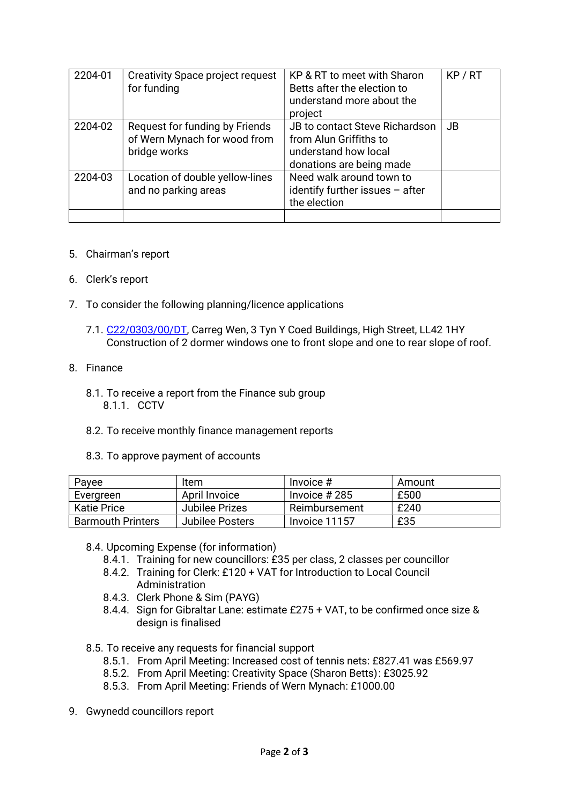| 2204-01 | <b>Creativity Space project request</b><br>for funding                         | KP & RT to meet with Sharon<br>Betts after the election to<br>understand more about the<br>project           | KP/RT     |
|---------|--------------------------------------------------------------------------------|--------------------------------------------------------------------------------------------------------------|-----------|
| 2204-02 | Request for funding by Friends<br>of Wern Mynach for wood from<br>bridge works | JB to contact Steve Richardson<br>from Alun Griffiths to<br>understand how local<br>donations are being made | <b>JB</b> |
| 2204-03 | Location of double yellow-lines<br>and no parking areas                        | Need walk around town to<br>identify further issues - after<br>the election                                  |           |

#### 5. Chairman's report

- 6. Clerk's report
- 7. To consider the following planning/licence applications
	- 7.1. C22/0303/00/DT, Carreg Wen, 3 Tyn Y Coed Buildings, High Street, LL42 1HY Construction of 2 dormer windows one to front slope and one to rear slope of roof.

#### 8. Finance

- 8.1. To receive a report from the Finance sub group 8.1.1. CCTV
- 8.2. To receive monthly finance management reports
- 8.3. To approve payment of accounts

| Payee                    | Item            | Invoice $#$    | Amount |
|--------------------------|-----------------|----------------|--------|
| Evergreen                | April Invoice   | Invoice $#285$ | £500   |
| <b>Katie Price</b>       | Jubilee Prizes  | Reimbursement  | £240   |
| <b>Barmouth Printers</b> | Jubilee Posters | Invoice 11157  | £35    |

8.4. Upcoming Expense (for information)

- 8.4.1. Training for new councillors: £35 per class, 2 classes per councillor
- 8.4.2. Training for Clerk: £120 + VAT for Introduction to Local Council Administration
- 8.4.3. Clerk Phone & Sim (PAYG)
- 8.4.4. Sign for Gibraltar Lane: estimate £275 + VAT, to be confirmed once size & design is finalised
- 8.5. To receive any requests for financial support
	- 8.5.1. From April Meeting: Increased cost of tennis nets: £827.41 was £569.97
	- 8.5.2. From April Meeting: Creativity Space (Sharon Betts) : £3025.92
	- 8.5.3. From April Meeting: Friends of Wern Mynach: £1000.00
- 9. Gwynedd councillors report